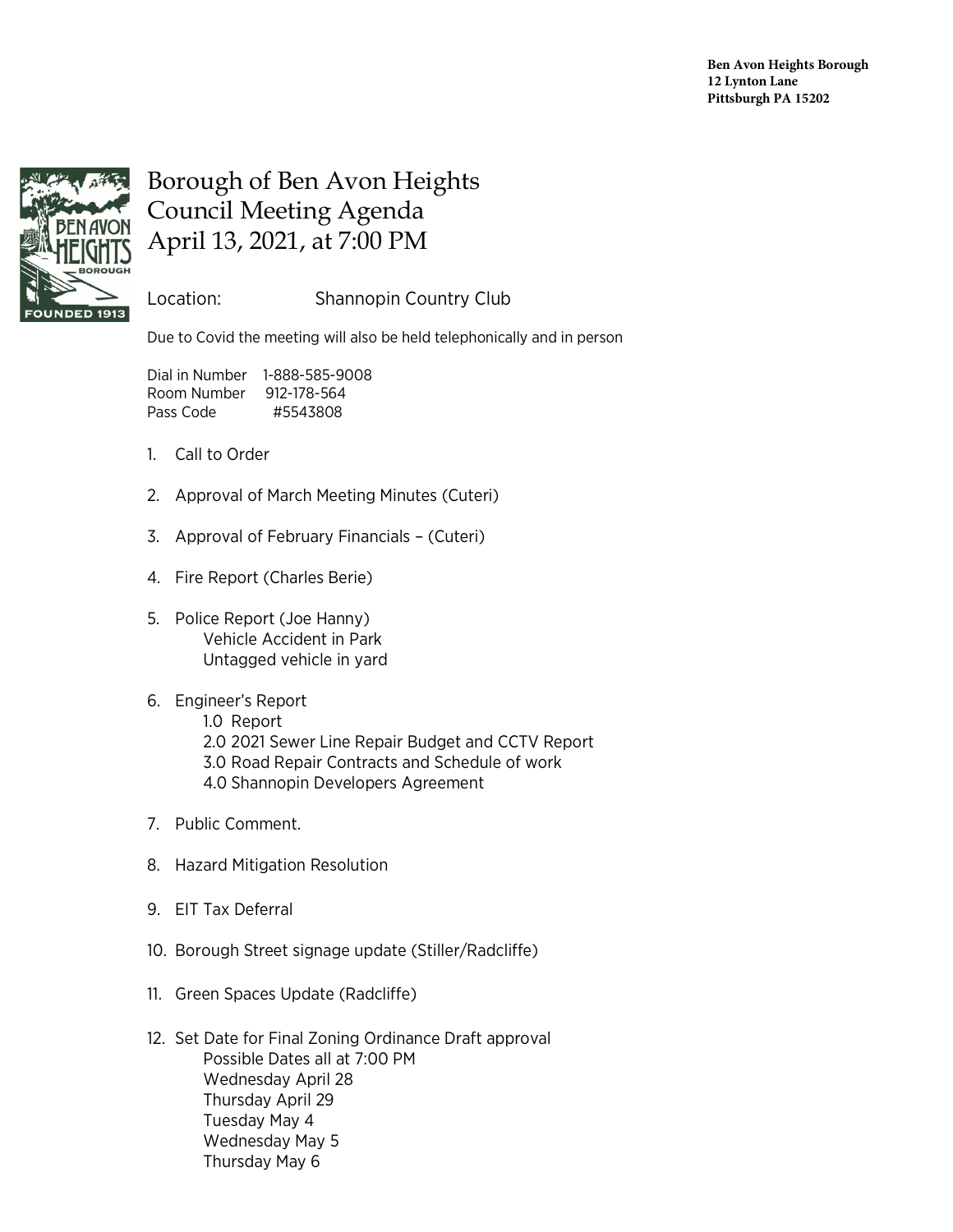

## Borough of Ben Avon Heights Council Meeting Agenda April 13, 2021, at 7:00 PM

Location: Shannopin Country Club

Due to Covid the meeting will also be held telephonically and in person

Dial in Number 1-888-585-9008 Room Number 912-178-564 Pass Code #5543808

- 1. Call to Order
- 2. Approval of March Meeting Minutes (Cuteri)
- 3. Approval of February Financials (Cuteri)
- 4. Fire Report (Charles Berie)
- 5. Police Report (Joe Hanny) Vehicle Accident in Park Untagged vehicle in yard

## 6. Engineer's Report

- 1.0 Report 2.0 2021 Sewer Line Repair Budget and CCTV Report 3.0 Road Repair Contracts and Schedule of work 4.0 Shannopin Developers Agreement
- 7. Public Comment.
- 8. Hazard Mitigation Resolution
- 9. EIT Tax Deferral
- 10. Borough Street signage update (Stiller/Radcliffe)
- 11. Green Spaces Update (Radcliffe)
- 12. Set Date for Final Zoning Ordinance Draft approval Possible Dates all at 7:00 PM Wednesday April 28 Thursday April 29 Tuesday May 4 Wednesday May 5 Thursday May 6